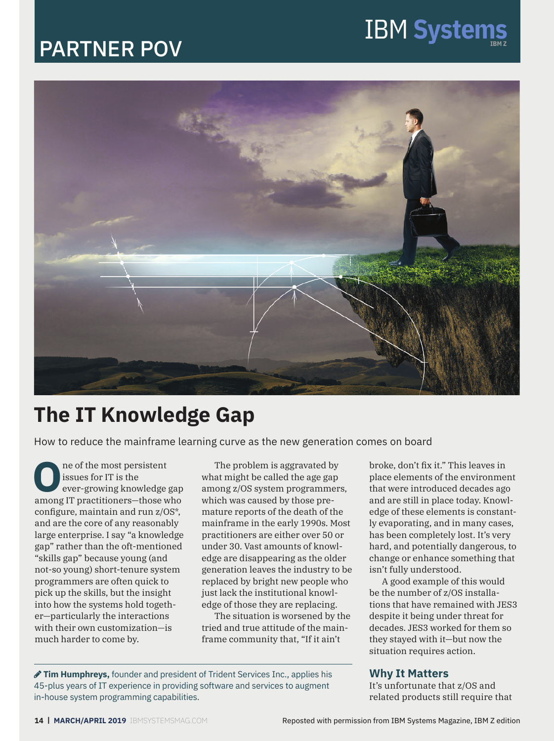# PARTNER POV



# **The IT Knowledge Gap**

How to reduce the mainframe learning curve as the new generation comes on board

**O**<br> **O** issues for IT is the<br>
ever-growing knowledge gap<br> **Property IT prestitioners**<br>
these who issues for IT is the among IT practitioners—those who configure, maintain and run z/OS\*, and are the core of any reasonably large enterprise. I say "a knowledge gap" rather than the oft-mentioned "skills gap" because young (and not-so young) short-tenure system programmers are often quick to pick up the skills, but the insight into how the systems hold together—particularly the interactions with their own customization—is much harder to come by.

The problem is aggravated by what might be called the age gap among z/OS system programmers, which was caused by those premature reports of the death of the mainframe in the early 1990s. Most practitioners are either over 50 or under 30. Vast amounts of knowledge are disappearing as the older generation leaves the industry to be replaced by bright new people who just lack the institutional knowledge of those they are replacing.

The situation is worsened by the tried and true attitude of the mainframe community that, "If it ain't

broke, don't fix it." This leaves in place elements of the environment that were introduced decades ago and are still in place today. Knowledge of these elements is constantly evaporating, and in many cases, has been completely lost. It's very hard, and potentially dangerous, to change or enhance something that isn't fully understood.

A good example of this would be the number of z/OS installations that have remained with JES3 despite it being under threat for decades. JES3 worked for them so they stayed with it—but now the situation requires action.

#### **Why It Matters**

It's unfortunate that z/OS and related products still require that

 **Tim Humphreys,** founder and president of Trident Services Inc., applies his 45-plus years of IT experience in providing software and services to augment in-house system programming capabilities.